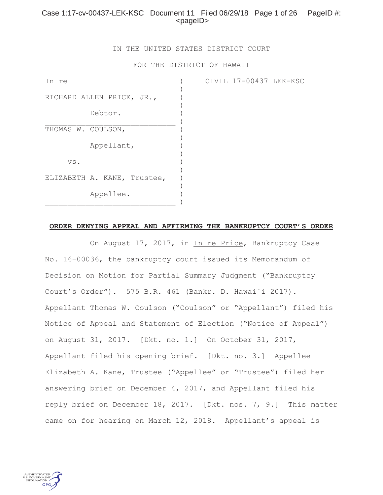# Case 1:17-cv-00437-LEK-KSC Document 11 Filed 06/29/18 Page 1 of 26 PageID #:  $<$ pageID $>$

IN THE UNITED STATES DISTRICT COURT

FOR THE DISTRICT OF HAWAII

CIVIL 17-00437 LEK-KSC

| In re                       |  |
|-----------------------------|--|
| RICHARD ALLEN PRICE, JR.,   |  |
| Debtor.                     |  |
| THOMAS W. COULSON,          |  |
| Appellant,                  |  |
| VS.                         |  |
| ELIZABETH A. KANE, Trustee, |  |
| Appellee.                   |  |

**ORDER DENYING APPEAL AND AFFIRMING THE BANKRUPTCY COURT'S ORDER**

On August 17, 2017, in In re Price, Bankruptcy Case No. 16–00036, the bankruptcy court issued its Memorandum of Decision on Motion for Partial Summary Judgment ("Bankruptcy Court's Order"). 575 B.R. 461 (Bankr. D. Hawai`i 2017). Appellant Thomas W. Coulson ("Coulson" or "Appellant") filed his Notice of Appeal and Statement of Election ("Notice of Appeal") on August 31, 2017. [Dkt. no. 1.] On October 31, 2017, Appellant filed his opening brief. [Dkt. no. 3.] Appellee Elizabeth A. Kane, Trustee ("Appellee" or "Trustee") filed her answering brief on December 4, 2017, and Appellant filed his reply brief on December 18, 2017. [Dkt. nos. 7, 9.] This matter came on for hearing on March 12, 2018. Appellant's appeal is

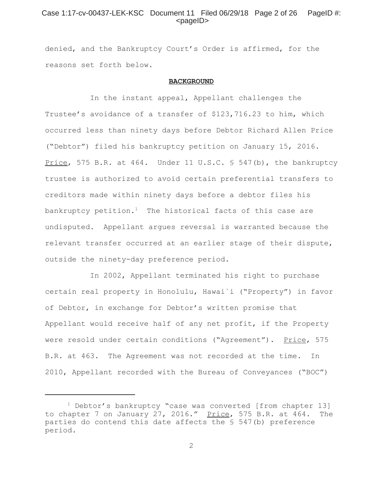# Case 1:17-cv-00437-LEK-KSC Document 11 Filed 06/29/18 Page 2 of 26 PageID #:  $<$ pageID $>$

denied, and the Bankruptcy Court's Order is affirmed, for the reasons set forth below.

#### **BACKGROUND**

In the instant appeal, Appellant challenges the Trustee's avoidance of a transfer of \$123,716.23 to him, which occurred less than ninety days before Debtor Richard Allen Price ("Debtor") filed his bankruptcy petition on January 15, 2016. Price, 575 B.R. at 464. Under 11 U.S.C. § 547(b), the bankruptcy trustee is authorized to avoid certain preferential transfers to creditors made within ninety days before a debtor files his bankruptcy petition.<sup>1</sup> The historical facts of this case are undisputed. Appellant argues reversal is warranted because the relevant transfer occurred at an earlier stage of their dispute, outside the ninety-day preference period.

In 2002, Appellant terminated his right to purchase certain real property in Honolulu, Hawai`i ("Property") in favor of Debtor, in exchange for Debtor's written promise that Appellant would receive half of any net profit, if the Property were resold under certain conditions ("Agreement"). Price, 575 B.R. at 463. The Agreement was not recorded at the time. In 2010, Appellant recorded with the Bureau of Conveyances ("BOC")

<sup>&</sup>lt;sup>1</sup> Debtor's bankruptcy "case was converted [from chapter 13] to chapter 7 on January 27, 2016." Price, 575 B.R. at 464. The parties do contend this date affects the § 547(b) preference period.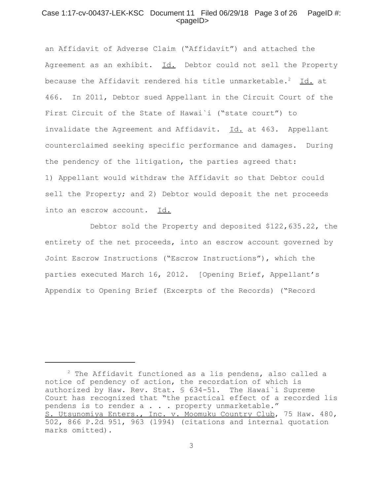## Case 1:17-cv-00437-LEK-KSC Document 11 Filed 06/29/18 Page 3 of 26 PageID #:  $<$ pageID $>$

an Affidavit of Adverse Claim ("Affidavit") and attached the Agreement as an exhibit. Id. Debtor could not sell the Property because the Affidavit rendered his title unmarketable.<sup>2</sup> Id. at 466. In 2011, Debtor sued Appellant in the Circuit Court of the First Circuit of the State of Hawai`i ("state court") to invalidate the Agreement and Affidavit. Id. at 463. Appellant counterclaimed seeking specific performance and damages. During the pendency of the litigation, the parties agreed that: 1) Appellant would withdraw the Affidavit so that Debtor could sell the Property; and 2) Debtor would deposit the net proceeds into an escrow account. Id.

Debtor sold the Property and deposited \$122,635.22, the entirety of the net proceeds, into an escrow account governed by Joint Escrow Instructions ("Escrow Instructions"), which the parties executed March 16, 2012. [Opening Brief, Appellant's Appendix to Opening Brief (Excerpts of the Records) ("Record

 $2$  The Affidavit functioned as a lis pendens, also called a notice of pendency of action, the recordation of which is authorized by Haw. Rev. Stat. § 634-51. The Hawai`i Supreme Court has recognized that "the practical effect of a recorded lis pendens is to render a . . . property unmarketable." S. Utsunomiya Enters., Inc. v. Moomuku Country Club, 75 Haw. 480, 502, 866 P.2d 951, 963 (1994) (citations and internal quotation marks omitted).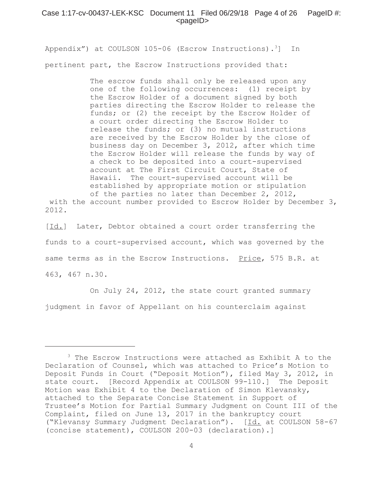Appendix") at COULSON 105-06 (Escrow Instructions).<sup>3</sup>] In pertinent part, the Escrow Instructions provided that:

> The escrow funds shall only be released upon any one of the following occurrences: (1) receipt by the Escrow Holder of a document signed by both parties directing the Escrow Holder to release the funds; or (2) the receipt by the Escrow Holder of a court order directing the Escrow Holder to release the funds; or (3) no mutual instructions are received by the Escrow Holder by the close of business day on December 3, 2012, after which time the Escrow Holder will release the funds by way of a check to be deposited into a court-supervised account at The First Circuit Court, State of Hawaii. The court-supervised account will be established by appropriate motion or stipulation of the parties no later than December 2, 2012,

 with the account number provided to Escrow Holder by December 3, 2012.

[Id.] Later, Debtor obtained a court order transferring the funds to a court-supervised account, which was governed by the same terms as in the Escrow Instructions. Price, 575 B.R. at 463, 467 n.30.

On July 24, 2012, the state court granted summary judgment in favor of Appellant on his counterclaim against

<sup>3</sup> The Escrow Instructions were attached as Exhibit A to the Declaration of Counsel, which was attached to Price's Motion to Deposit Funds in Court ("Deposit Motion"), filed May 3, 2012, in state court. [Record Appendix at COULSON 99-110.] The Deposit Motion was Exhibit 4 to the Declaration of Simon Klevansky, attached to the Separate Concise Statement in Support of Trustee's Motion for Partial Summary Judgment on Count III of the Complaint, filed on June 13, 2017 in the bankruptcy court ("Klevansy Summary Judgment Declaration"). [Id. at COULSON 58-67 (concise statement), COULSON 200-03 (declaration).]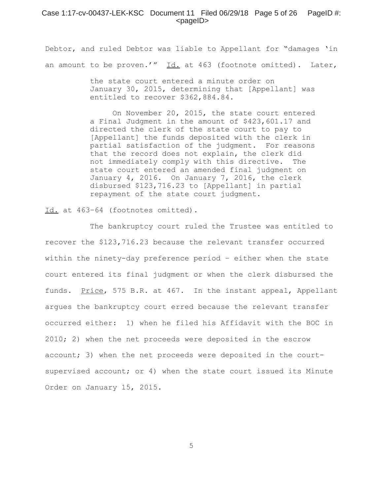#### Case 1:17-cv-00437-LEK-KSC Document 11 Filed  $06/29/18$  Page 5 of 26 PageID #:  $<$ pageID $>$

Debtor, and ruled Debtor was liable to Appellant for "damages 'in an amount to be proven.'"  $Id.$  at 463 (footnote omitted). Later,

> the state court entered a minute order on January 30, 2015, determining that [Appellant] was entitled to recover \$362,884.84.

> On November 20, 2015, the state court entered a Final Judgment in the amount of \$423,601.17 and directed the clerk of the state court to pay to [Appellant] the funds deposited with the clerk in partial satisfaction of the judgment. For reasons that the record does not explain, the clerk did not immediately comply with this directive. The state court entered an amended final judgment on January 4, 2016. On January 7, 2016, the clerk disbursed \$123,716.23 to [Appellant] in partial repayment of the state court judgment.

Id. at 463–64 (footnotes omitted).

The bankruptcy court ruled the Trustee was entitled to recover the \$123,716.23 because the relevant transfer occurred within the ninety-day preference period – either when the state court entered its final judgment or when the clerk disbursed the funds. Price, 575 B.R. at 467. In the instant appeal, Appellant argues the bankruptcy court erred because the relevant transfer occurred either: 1) when he filed his Affidavit with the BOC in 2010; 2) when the net proceeds were deposited in the escrow account; 3) when the net proceeds were deposited in the courtsupervised account; or 4) when the state court issued its Minute Order on January 15, 2015.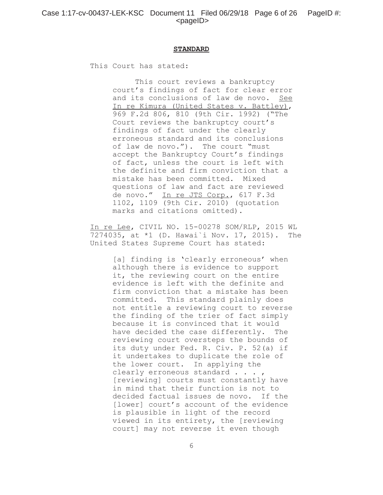#### **STANDARD**

This Court has stated:

This court reviews a bankruptcy court's findings of fact for clear error and its conclusions of law de novo. See In re Kimura (United States v. Battley), 969 F.2d 806, 810 (9th Cir. 1992) ("The Court reviews the bankruptcy court's findings of fact under the clearly erroneous standard and its conclusions of law de novo."). The court "must accept the Bankruptcy Court's findings of fact, unless the court is left with the definite and firm conviction that a mistake has been committed. Mixed questions of law and fact are reviewed de novo." In re JTS Corp., 617 F.3d 1102, 1109 (9th Cir. 2010) (quotation marks and citations omitted).

In re Lee, CIVIL NO. 15-00278 SOM/RLP, 2015 WL 7274035, at \*1 (D. Hawai`i Nov. 17, 2015). The United States Supreme Court has stated:

> [a] finding is 'clearly erroneous' when although there is evidence to support it, the reviewing court on the entire evidence is left with the definite and firm conviction that a mistake has been committed. This standard plainly does not entitle a reviewing court to reverse the finding of the trier of fact simply because it is convinced that it would have decided the case differently. The reviewing court oversteps the bounds of its duty under Fed. R. Civ. P. 52(a) if it undertakes to duplicate the role of the lower court. In applying the clearly erroneous standard . . . , [reviewing] courts must constantly have in mind that their function is not to decided factual issues de novo. If the [lower] court's account of the evidence is plausible in light of the record viewed in its entirety, the [reviewing court] may not reverse it even though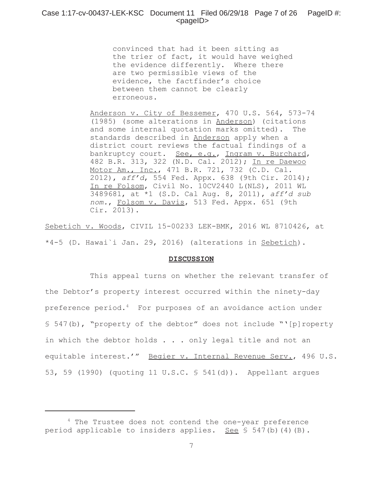## Case 1:17-cv-00437-LEK-KSC Document 11 Filed 06/29/18 Page 7 of 26 PageID #:  $<$ pageID $>$

convinced that had it been sitting as the trier of fact, it would have weighed the evidence differently. Where there are two permissible views of the evidence, the factfinder's choice between them cannot be clearly erroneous.

Anderson v. City of Bessemer, 470 U.S. 564, 573-74 (1985) (some alterations in Anderson) (citations and some internal quotation marks omitted). The standards described in Anderson apply when a district court reviews the factual findings of a bankruptcy court. See, e.g., Ingram v. Burchard, 482 B.R. 313, 322 (N.D. Cal. 2012); In re Daewoo Motor Am., Inc., 471 B.R. 721, 732 (C.D. Cal. 2012), *aff'd*, 554 Fed. Appx. 638 (9th Cir. 2014); In re Folsom, Civil No. 10CV2440 L(NLS), 2011 WL 3489681, at \*1 (S.D. Cal Aug. 8, 2011), *aff'd sub nom.*, Folsom v. Davis, 513 Fed. Appx. 651 (9th Cir. 2013).

Sebetich v. Woods, CIVIL 15-00233 LEK-BMK, 2016 WL 8710426, at \*4-5 (D. Hawai`i Jan. 29, 2016) (alterations in Sebetich).

#### **DISCUSSION**

This appeal turns on whether the relevant transfer of the Debtor's property interest occurred within the ninety-day preference period.4 For purposes of an avoidance action under § 547(b), "property of the debtor" does not include "'[p]roperty in which the debtor holds . . . only legal title and not an equitable interest.'" Begier v. Internal Revenue Serv., 496 U.S. 53, 59 (1990) (quoting 11 U.S.C. § 541(d)). Appellant argues

<sup>4</sup> The Trustee does not contend the one-year preference period applicable to insiders applies. See § 547(b)(4)(B).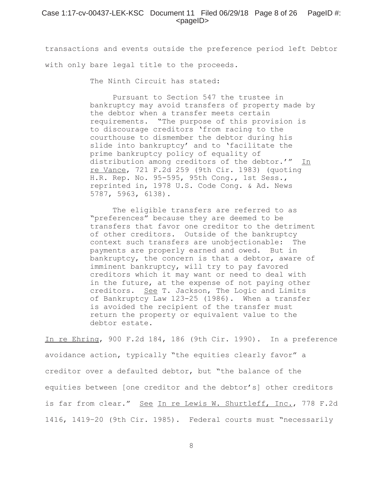## Case 1:17-cv-00437-LEK-KSC Document 11 Filed  $06/29/18$  Page 8 of 26 PageID #:  $<$ pageID $>$

transactions and events outside the preference period left Debtor with only bare legal title to the proceeds.

The Ninth Circuit has stated:

Pursuant to Section 547 the trustee in bankruptcy may avoid transfers of property made by the debtor when a transfer meets certain requirements. "The purpose of this provision is to discourage creditors 'from racing to the courthouse to dismember the debtor during his slide into bankruptcy' and to 'facilitate the prime bankruptcy policy of equality of distribution among creditors of the debtor.'" In re Vance, 721 F.2d 259 (9th Cir. 1983) (quoting H.R. Rep. No. 95-595, 95th Cong., 1st Sess., reprinted in, 1978 U.S. Code Cong. & Ad. News 5787, 5963, 6138).

The eligible transfers are referred to as "preferences" because they are deemed to be transfers that favor one creditor to the detriment of other creditors. Outside of the bankruptcy context such transfers are unobjectionable: The payments are properly earned and owed. But in bankruptcy, the concern is that a debtor, aware of imminent bankruptcy, will try to pay favored creditors which it may want or need to deal with in the future, at the expense of not paying other creditors. See T. Jackson, The Logic and Limits of Bankruptcy Law 123-25 (1986). When a transfer is avoided the recipient of the transfer must return the property or equivalent value to the debtor estate.

In re Ehring, 900 F.2d 184, 186 (9th Cir. 1990). In a preference avoidance action, typically "the equities clearly favor" a creditor over a defaulted debtor, but "the balance of the equities between [one creditor and the debtor's] other creditors is far from clear." See In re Lewis W. Shurtleff, Inc., 778 F.2d 1416, 1419–20 (9th Cir. 1985). Federal courts must "necessarily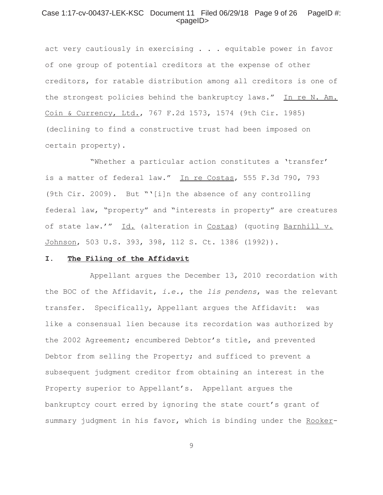## Case 1:17-cv-00437-LEK-KSC Document 11 Filed 06/29/18 Page 9 of 26 PageID #:  $<$ pageID $>$

act very cautiously in exercising . . . equitable power in favor of one group of potential creditors at the expense of other creditors, for ratable distribution among all creditors is one of the strongest policies behind the bankruptcy laws." In re N. Am. Coin & Currency, Ltd., 767 F.2d 1573, 1574 (9th Cir. 1985) (declining to find a constructive trust had been imposed on certain property).

"Whether a particular action constitutes a 'transfer' is a matter of federal law." In re Costas, 555 F.3d 790, 793 (9th Cir. 2009). But "'[i]n the absence of any controlling federal law, "property" and "interests in property" are creatures of state law.'" Id. (alteration in Costas) (quoting Barnhill v. Johnson, 503 U.S. 393, 398, 112 S. Ct. 1386 (1992)).

#### **I. The Filing of the Affidavit**

Appellant argues the December 13, 2010 recordation with the BOC of the Affidavit, *i.e.*, the *lis pendens*, was the relevant transfer. Specifically, Appellant argues the Affidavit: was like a consensual lien because its recordation was authorized by the 2002 Agreement; encumbered Debtor's title, and prevented Debtor from selling the Property; and sufficed to prevent a subsequent judgment creditor from obtaining an interest in the Property superior to Appellant's. Appellant argues the bankruptcy court erred by ignoring the state court's grant of summary judgment in his favor, which is binding under the Rooker-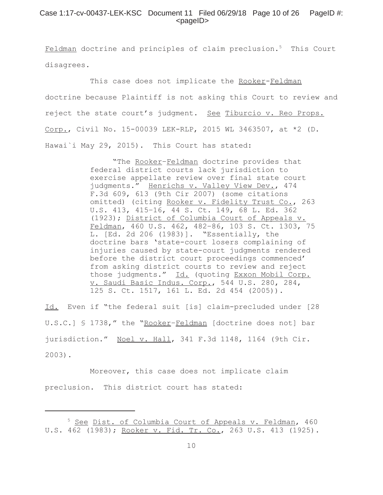## Case 1:17-cv-00437-LEK-KSC Document 11 Filed 06/29/18 Page 10 of 26 PageID #:  $<$ pageID $>$

Feldman doctrine and principles of claim preclusion.<sup>5</sup> This Court disagrees.

This case does not implicate the Rooker-Feldman doctrine because Plaintiff is not asking this Court to review and reject the state court's judgment. See Tiburcio v. Reo Props. Corp., Civil No. 15-00039 LEK-RLP, 2015 WL 3463507, at \*2 (D. Hawai`i May 29, 2015). This Court has stated:

> "The Rooker-Feldman doctrine provides that federal district courts lack jurisdiction to exercise appellate review over final state court judgments." Henrichs v. Valley View Dev., 474 F.3d 609, 613 (9th Cir 2007) (some citations omitted) (citing Rooker v. Fidelity Trust Co., 263 U.S. 413, 415–16, 44 S. Ct. 149, 68 L. Ed. 362 (1923); District of Columbia Court of Appeals v. Feldman, 460 U.S. 462, 482–86, 103 S. Ct. 1303, 75 L. [Ed. 2d 206 (1983)]. "Essentially, the doctrine bars 'state-court losers complaining of injuries caused by state-court judgments rendered before the district court proceedings commenced' from asking district courts to review and reject those judgments." Id. (quoting Exxon Mobil Corp. v. Saudi Basic Indus. Corp., 544 U.S. 280, 284, 125 S. Ct. 1517, 161 L. Ed. 2d 454 (2005)).

Id. Even if "the federal suit [is] claim-precluded under [28 U.S.C.] § 1738," the "Rooker-Feldman [doctrine does not] bar jurisdiction." Noel v. Hall, 341 F.3d 1148, 1164 (9th Cir. 2003).

Moreover, this case does not implicate claim preclusion. This district court has stated:

<sup>&</sup>lt;sup>5</sup> See Dist. of Columbia Court of Appeals v. Feldman, 460 U.S. 462 (1983); Rooker v. Fid. Tr. Co., 263 U.S. 413 (1925).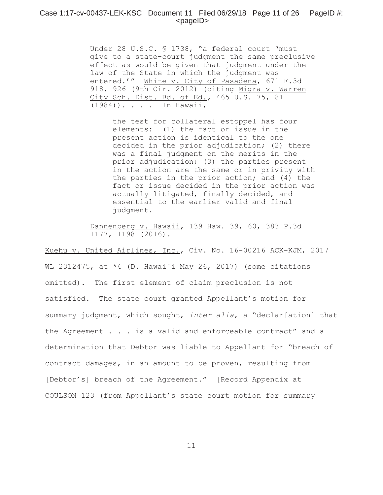#### Case 1:17-cv-00437-LEK-KSC Document 11 Filed 06/29/18 Page 11 of 26 PageID #:  $<$ pageID $>$

Under 28 U.S.C. § 1738, "a federal court 'must give to a state-court judgment the same preclusive effect as would be given that judgment under the law of the State in which the judgment was entered.'" White v. City of Pasadena, 671 F.3d 918, 926 (9th Cir. 2012) (citing Migra v. Warren City Sch. Dist. Bd. of Ed., 465 U.S. 75, 81 (1984)). . . . In Hawaii,

the test for collateral estoppel has four elements: (1) the fact or issue in the present action is identical to the one decided in the prior adjudication; (2) there was a final judgment on the merits in the prior adjudication; (3) the parties present in the action are the same or in privity with the parties in the prior action; and (4) the fact or issue decided in the prior action was actually litigated, finally decided, and essential to the earlier valid and final judgment.

Dannenberg v. Hawaii, 139 Haw. 39, 60, 383 P.3d 1177, 1198 (2016).

Kuehu v. United Airlines, Inc., Civ. No. 16-00216 ACK-KJM, 2017 WL 2312475, at \*4 (D. Hawai`i May 26, 2017) (some citations omitted). The first element of claim preclusion is not satisfied. The state court granted Appellant's motion for summary judgment, which sought, *inter alia*, a "declar[ation] that the Agreement . . . is a valid and enforceable contract" and a determination that Debtor was liable to Appellant for "breach of contract damages, in an amount to be proven, resulting from [Debtor's] breach of the Agreement." [Record Appendix at COULSON 123 (from Appellant's state court motion for summary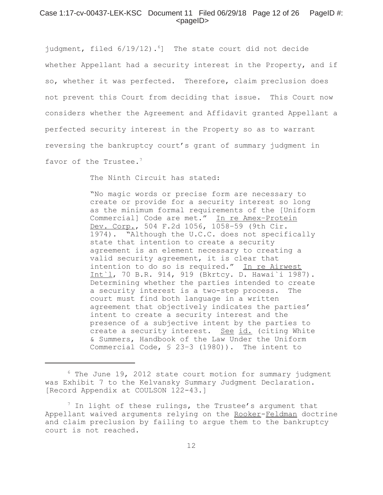#### Case 1:17-cv-00437-LEK-KSC Document 11 Filed 06/29/18 Page 12 of 26 PageID #:  $<$ pageID $>$

judgment, filed  $6/19/12$ ).<sup>6</sup>] The state court did not decide whether Appellant had a security interest in the Property, and if so, whether it was perfected. Therefore, claim preclusion does not prevent this Court from deciding that issue. This Court now considers whether the Agreement and Affidavit granted Appellant a perfected security interest in the Property so as to warrant reversing the bankruptcy court's grant of summary judgment in favor of the Trustee.<sup>7</sup>

The Ninth Circuit has stated:

"No magic words or precise form are necessary to create or provide for a security interest so long as the minimum formal requirements of the [Uniform Commercial] Code are met." In re Amex-Protein Dev. Corp., 504 F.2d 1056, 1058–59 (9th Cir. 1974). "Although the U.C.C. does not specifically state that intention to create a security agreement is an element necessary to creating a valid security agreement, it is clear that intention to do so is required." In re Airwest Int`l, 70 B.R. 914, 919 (Bkrtcy. D. Hawai`i 1987). Determining whether the parties intended to create a security interest is a two-step process. The court must find both language in a written agreement that objectively indicates the parties' intent to create a security interest and the presence of a subjective intent by the parties to create a security interest. See id. (citing White & Summers, Handbook of the Law Under the Uniform Commercial Code, § 23–3 (1980)). The intent to

 $6$  The June 19, 2012 state court motion for summary judgment was Exhibit 7 to the Kelvansky Summary Judgment Declaration. [Record Appendix at COULSON 122-43.]

 $^7$  In light of these rulings, the Trustee's argument that Appellant waived arguments relying on the Rooker-Feldman doctrine and claim preclusion by failing to argue them to the bankruptcy court is not reached.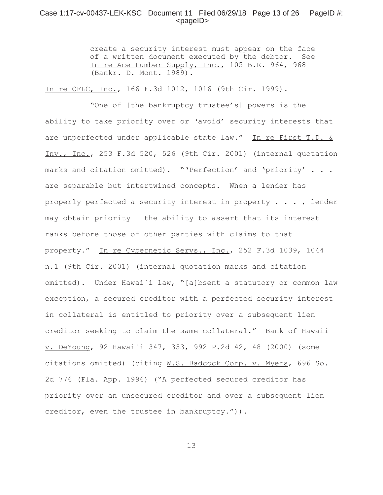## Case 1:17-cv-00437-LEK-KSC Document 11 Filed 06/29/18 Page 13 of 26 PageID #:  $<$ pageID $>$

create a security interest must appear on the face of a written document executed by the debtor. See In re Ace Lumber Supply, Inc., 105 B.R. 964, 968 (Bankr. D. Mont. 1989).

In re CFLC, Inc., 166 F.3d 1012, 1016 (9th Cir. 1999).

"One of [the bankruptcy trustee's] powers is the ability to take priority over or 'avoid' security interests that are unperfected under applicable state law." In re First T.D. & Inv., Inc., 253 F.3d 520, 526 (9th Cir. 2001) (internal quotation marks and citation omitted). "'Perfection' and 'priority' . . . are separable but intertwined concepts. When a lender has properly perfected a security interest in property . . . , lender may obtain priority — the ability to assert that its interest ranks before those of other parties with claims to that property." In re Cybernetic Servs., Inc., 252 F.3d 1039, 1044 n.1 (9th Cir. 2001) (internal quotation marks and citation omitted). Under Hawai`i law, "[a]bsent a statutory or common law exception, a secured creditor with a perfected security interest in collateral is entitled to priority over a subsequent lien creditor seeking to claim the same collateral." Bank of Hawaii v. DeYoung, 92 Hawai`i 347, 353, 992 P.2d 42, 48 (2000) (some citations omitted) (citing W.S. Badcock Corp. v. Myers, 696 So. 2d 776 (Fla. App. 1996) ("A perfected secured creditor has priority over an unsecured creditor and over a subsequent lien creditor, even the trustee in bankruptcy.")).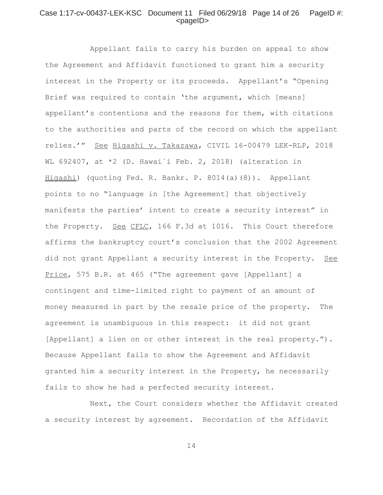## Case 1:17-cv-00437-LEK-KSC Document 11 Filed 06/29/18 Page 14 of 26 PageID #:  $<$ pageID $>$

Appellant fails to carry his burden on appeal to show the Agreement and Affidavit functioned to grant him a security interest in the Property or its proceeds. Appellant's "Opening Brief was required to contain 'the argument, which [means] appellant's contentions and the reasons for them, with citations to the authorities and parts of the record on which the appellant relies.'" See Higashi v. Takazawa, CIVIL 16-00479 LEK-RLP, 2018 WL 692407, at \*2 (D. Hawai`i Feb. 2, 2018) (alteration in Higashi) (quoting Fed. R. Bankr. P. 8014(a)(8)). Appellant points to no "language in [the Agreement] that objectively manifests the parties' intent to create a security interest" in the Property. See CFLC, 166 F.3d at 1016. This Court therefore affirms the bankruptcy court's conclusion that the 2002 Agreement did not grant Appellant a security interest in the Property. See Price, 575 B.R. at 465 ("The agreement gave [Appellant] a contingent and time-limited right to payment of an amount of money measured in part by the resale price of the property. The agreement is unambiguous in this respect: it did not grant [Appellant] a lien on or other interest in the real property."). Because Appellant fails to show the Agreement and Affidavit granted him a security interest in the Property, he necessarily fails to show he had a perfected security interest.

Next, the Court considers whether the Affidavit created a security interest by agreement. Recordation of the Affidavit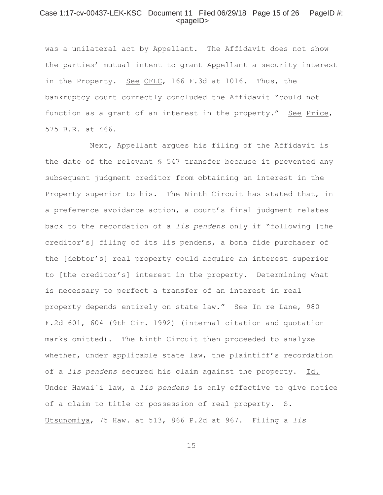#### Case 1:17-cv-00437-LEK-KSC Document 11 Filed 06/29/18 Page 15 of 26 PageID #: <pageID>

was a unilateral act by Appellant. The Affidavit does not show the parties' mutual intent to grant Appellant a security interest in the Property. See CFLC, 166 F.3d at 1016. Thus, the bankruptcy court correctly concluded the Affidavit "could not function as a grant of an interest in the property." See Price, 575 B.R. at 466.

Next, Appellant argues his filing of the Affidavit is the date of the relevant § 547 transfer because it prevented any subsequent judgment creditor from obtaining an interest in the Property superior to his. The Ninth Circuit has stated that, in a preference avoidance action, a court's final judgment relates back to the recordation of a *lis pendens* only if "following [the creditor's] filing of its lis pendens, a bona fide purchaser of the [debtor's] real property could acquire an interest superior to [the creditor's] interest in the property. Determining what is necessary to perfect a transfer of an interest in real property depends entirely on state law." See In re Lane, 980 F.2d 601, 604 (9th Cir. 1992) (internal citation and quotation marks omitted). The Ninth Circuit then proceeded to analyze whether, under applicable state law, the plaintiff's recordation of a *lis pendens* secured his claim against the property. Id. Under Hawai`i law, a *lis pendens* is only effective to give notice of a claim to title or possession of real property. S. Utsunomiya, 75 Haw. at 513, 866 P.2d at 967. Filing a *lis*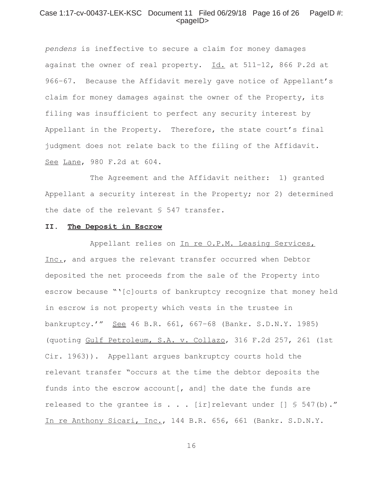#### Case 1:17-cv-00437-LEK-KSC Document 11 Filed 06/29/18 Page 16 of 26 PageID #: <pageID>

*pendens* is ineffective to secure a claim for money damages against the owner of real property. Id. at 511-12, 866 P.2d at 966–67. Because the Affidavit merely gave notice of Appellant's claim for money damages against the owner of the Property, its filing was insufficient to perfect any security interest by Appellant in the Property. Therefore, the state court's final judgment does not relate back to the filing of the Affidavit. See Lane, 980 F.2d at 604.

The Agreement and the Affidavit neither: 1) granted Appellant a security interest in the Property; nor 2) determined the date of the relevant § 547 transfer.

## **II. The Deposit in Escrow**

Appellant relies on In re O.P.M. Leasing Services, Inc., and argues the relevant transfer occurred when Debtor deposited the net proceeds from the sale of the Property into escrow because "'[c]ourts of bankruptcy recognize that money held in escrow is not property which vests in the trustee in bankruptcy.'" See 46 B.R. 661, 667–68 (Bankr. S.D.N.Y. 1985) (quoting Gulf Petroleum, S.A. v. Collazo, 316 F.2d 257, 261 (1st Cir. 1963)). Appellant argues bankruptcy courts hold the relevant transfer "occurs at the time the debtor deposits the funds into the escrow account [, and] the date the funds are released to the grantee is  $\ldots$  [ir]relevant under [] § 547(b)." In re Anthony Sicari, Inc., 144 B.R. 656, 661 (Bankr. S.D.N.Y.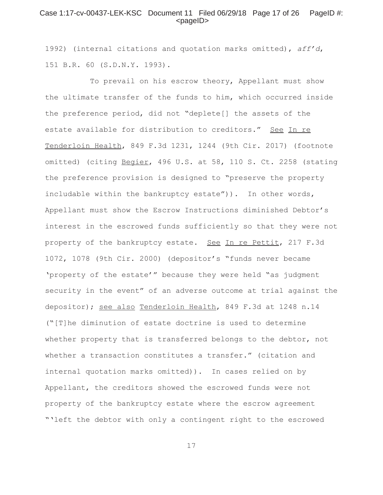#### Case 1:17-cv-00437-LEK-KSC Document 11 Filed 06/29/18 Page 17 of 26 PageID #: <pageID>

1992) (internal citations and quotation marks omitted), *aff'd*, 151 B.R. 60 (S.D.N.Y. 1993).

To prevail on his escrow theory, Appellant must show the ultimate transfer of the funds to him, which occurred inside the preference period, did not "deplete[] the assets of the estate available for distribution to creditors." See In re Tenderloin Health, 849 F.3d 1231, 1244 (9th Cir. 2017) (footnote omitted) (citing Begier, 496 U.S. at 58, 110 S. Ct. 2258 (stating the preference provision is designed to "preserve the property includable within the bankruptcy estate")). In other words, Appellant must show the Escrow Instructions diminished Debtor's interest in the escrowed funds sufficiently so that they were not property of the bankruptcy estate. See In re Pettit, 217 F.3d 1072, 1078 (9th Cir. 2000) (depositor's "funds never became 'property of the estate'" because they were held "as judgment security in the event" of an adverse outcome at trial against the depositor); see also Tenderloin Health, 849 F.3d at 1248 n.14 ("[T]he diminution of estate doctrine is used to determine whether property that is transferred belongs to the debtor, not whether a transaction constitutes a transfer." (citation and internal quotation marks omitted)). In cases relied on by Appellant, the creditors showed the escrowed funds were not property of the bankruptcy estate where the escrow agreement "'left the debtor with only a contingent right to the escrowed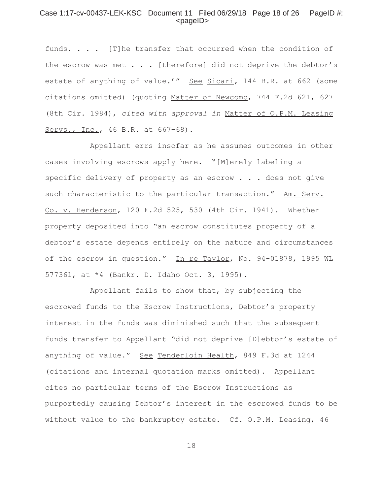#### Case 1:17-cv-00437-LEK-KSC Document 11 Filed 06/29/18 Page 18 of 26 PageID #: <pageID>

funds. . . . [T]he transfer that occurred when the condition of the escrow was met . . . [therefore] did not deprive the debtor's estate of anything of value.'" See Sicari, 144 B.R. at 662 (some citations omitted) (quoting Matter of Newcomb, 744 F.2d 621, 627 (8th Cir. 1984), *cited with approval in* Matter of O.P.M. Leasing Servs., Inc., 46 B.R. at 667–68).

Appellant errs insofar as he assumes outcomes in other cases involving escrows apply here. "[M]erely labeling a specific delivery of property as an escrow . . . does not give such characteristic to the particular transaction." Am. Serv. Co. v. Henderson, 120 F.2d 525, 530 (4th Cir. 1941). Whether property deposited into "an escrow constitutes property of a debtor's estate depends entirely on the nature and circumstances of the escrow in question." In re Taylor, No. 94-01878, 1995 WL 577361, at \*4 (Bankr. D. Idaho Oct. 3, 1995).

Appellant fails to show that, by subjecting the escrowed funds to the Escrow Instructions, Debtor's property interest in the funds was diminished such that the subsequent funds transfer to Appellant "did not deprive [D]ebtor's estate of anything of value." See Tenderloin Health, 849 F.3d at 1244 (citations and internal quotation marks omitted). Appellant cites no particular terms of the Escrow Instructions as purportedly causing Debtor's interest in the escrowed funds to be without value to the bankruptcy estate. Cf. O.P.M. Leasing, 46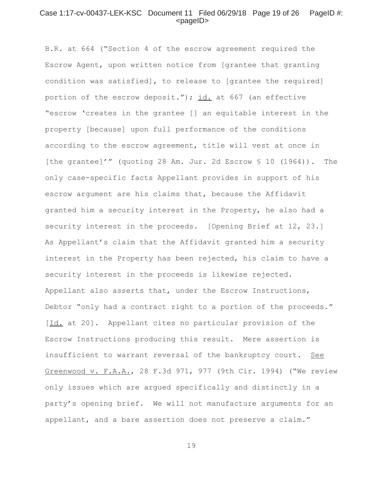#### Case 1:17-cv-00437-LEK-KSC Document 11 Filed 06/29/18 Page 19 of 26 PageID #: <pageID>

B.R. at 664 ("Section 4 of the escrow agreement required the Escrow Agent, upon written notice from [grantee that granting condition was satisfied], to release to [grantee the required] portion of the escrow deposit."); id. at 667 (an effective "escrow 'creates in the grantee [] an equitable interest in the property [because] upon full performance of the conditions according to the escrow agreement, title will vest at once in [the grantee]'" (quoting 28 Am. Jur. 2d Escrow § 10 (1964)). The only case-specific facts Appellant provides in support of his escrow argument are his claims that, because the Affidavit granted him a security interest in the Property, he also had a security interest in the proceeds. [Opening Brief at 12, 23.] As Appellant's claim that the Affidavit granted him a security interest in the Property has been rejected, his claim to have a security interest in the proceeds is likewise rejected. Appellant also asserts that, under the Escrow Instructions, Debtor "only had a contract right to a portion of the proceeds." [Id. at 20]. Appellant cites no particular provision of the Escrow Instructions producing this result. Mere assertion is insufficient to warrant reversal of the bankruptcy court. See Greenwood v. F.A.A., 28 F.3d 971, 977 (9th Cir. 1994) ("We review only issues which are argued specifically and distinctly in a party's opening brief. We will not manufacture arguments for an appellant, and a bare assertion does not preserve a claim."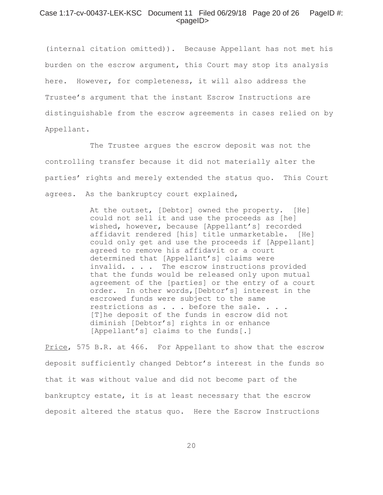#### Case 1:17-cv-00437-LEK-KSC Document 11 Filed 06/29/18 Page 20 of 26 PageID #: <pageID>

(internal citation omitted)). Because Appellant has not met his burden on the escrow argument, this Court may stop its analysis here. However, for completeness, it will also address the Trustee's argument that the instant Escrow Instructions are distinguishable from the escrow agreements in cases relied on by Appellant.

The Trustee argues the escrow deposit was not the controlling transfer because it did not materially alter the parties' rights and merely extended the status quo. This Court agrees. As the bankruptcy court explained,

> At the outset, [Debtor] owned the property. [He] could not sell it and use the proceeds as [he] wished, however, because [Appellant's] recorded affidavit rendered [his] title unmarketable. [He] could only get and use the proceeds if [Appellant] agreed to remove his affidavit or a court determined that [Appellant's] claims were invalid. . . . The escrow instructions provided that the funds would be released only upon mutual agreement of the [parties] or the entry of a court order. In other words,[Debtor's] interest in the escrowed funds were subject to the same restrictions as . . . before the sale. . . . [T]he deposit of the funds in escrow did not diminish [Debtor's] rights in or enhance [Appellant's] claims to the funds[.]

Price, 575 B.R. at 466. For Appellant to show that the escrow deposit sufficiently changed Debtor's interest in the funds so that it was without value and did not become part of the bankruptcy estate, it is at least necessary that the escrow deposit altered the status quo. Here the Escrow Instructions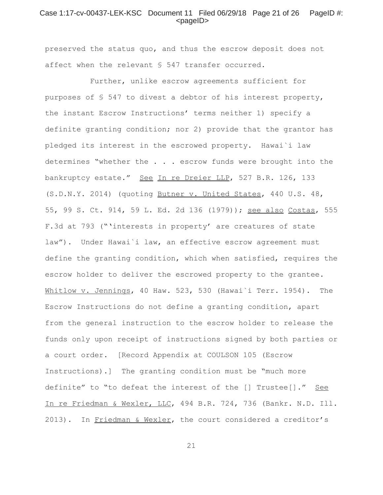#### Case 1:17-cv-00437-LEK-KSC Document 11 Filed 06/29/18 Page 21 of 26 PageID #: <pageID>

preserved the status quo, and thus the escrow deposit does not affect when the relevant § 547 transfer occurred.

Further, unlike escrow agreements sufficient for purposes of § 547 to divest a debtor of his interest property, the instant Escrow Instructions' terms neither 1) specify a definite granting condition; nor 2) provide that the grantor has pledged its interest in the escrowed property. Hawai`i law determines "whether the . . . escrow funds were brought into the bankruptcy estate." See In re Dreier LLP, 527 B.R. 126, 133 (S.D.N.Y. 2014) (quoting Butner v. United States, 440 U.S. 48, 55, 99 S. Ct. 914, 59 L. Ed. 2d 136 (1979)); see also Costas, 555 F.3d at 793 ("'interests in property' are creatures of state law"). Under Hawai`i law, an effective escrow agreement must define the granting condition, which when satisfied, requires the escrow holder to deliver the escrowed property to the grantee. Whitlow v. Jennings, 40 Haw. 523, 530 (Hawai`i Terr. 1954). The Escrow Instructions do not define a granting condition, apart from the general instruction to the escrow holder to release the funds only upon receipt of instructions signed by both parties or a court order. [Record Appendix at COULSON 105 (Escrow Instructions).] The granting condition must be "much more definite" to "to defeat the interest of the [] Trustee[]." See In re Friedman & Wexler, LLC, 494 B.R. 724, 736 (Bankr. N.D. Ill. 2013). In Friedman & Wexler, the court considered a creditor's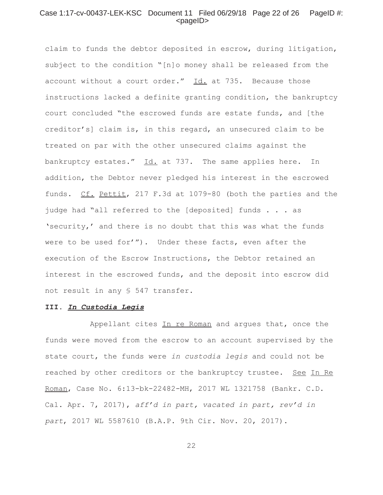## Case 1:17-cv-00437-LEK-KSC Document 11 Filed 06/29/18 Page 22 of 26 PageID #: <pageID>

claim to funds the debtor deposited in escrow, during litigation, subject to the condition "[n]o money shall be released from the account without a court order." Id. at 735. Because those instructions lacked a definite granting condition, the bankruptcy court concluded "the escrowed funds are estate funds, and [the creditor's] claim is, in this regard, an unsecured claim to be treated on par with the other unsecured claims against the bankruptcy estates." Id. at 737. The same applies here. In addition, the Debtor never pledged his interest in the escrowed funds. Cf. Pettit, 217 F.3d at 1079-80 (both the parties and the judge had "all referred to the [deposited] funds . . . as 'security,' and there is no doubt that this was what the funds were to be used for'"). Under these facts, even after the execution of the Escrow Instructions, the Debtor retained an interest in the escrowed funds, and the deposit into escrow did not result in any § 547 transfer.

#### **III.** *In Custodia Legis*

Appellant cites In re Roman and argues that, once the funds were moved from the escrow to an account supervised by the state court, the funds were *in custodia legis* and could not be reached by other creditors or the bankruptcy trustee. See In Re Roman, Case No. 6:13-bk-22482-MH, 2017 WL 1321758 (Bankr. C.D. Cal. Apr. 7, 2017), *aff'd in part, vacated in part, rev'd in part*, 2017 WL 5587610 (B.A.P. 9th Cir. Nov. 20, 2017).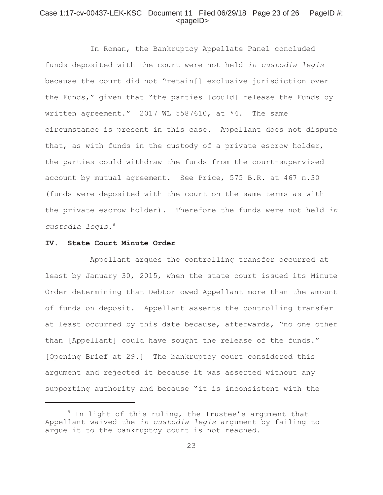## Case 1:17-cv-00437-LEK-KSC Document 11 Filed 06/29/18 Page 23 of 26 PageID #: <pageID>

In Roman, the Bankruptcy Appellate Panel concluded funds deposited with the court were not held *in custodia legis* because the court did not "retain[] exclusive jurisdiction over the Funds," given that "the parties [could] release the Funds by written agreement." 2017 WL 5587610, at \*4. The same circumstance is present in this case. Appellant does not dispute that, as with funds in the custody of a private escrow holder, the parties could withdraw the funds from the court-supervised account by mutual agreement. See Price, 575 B.R. at 467 n.30 (funds were deposited with the court on the same terms as with the private escrow holder). Therefore the funds were not held *in custodia legis*. 8

#### **IV. State Court Minute Order**

Appellant argues the controlling transfer occurred at least by January 30, 2015, when the state court issued its Minute Order determining that Debtor owed Appellant more than the amount of funds on deposit. Appellant asserts the controlling transfer at least occurred by this date because, afterwards, "no one other than [Appellant] could have sought the release of the funds." [Opening Brief at 29.] The bankruptcy court considered this argument and rejected it because it was asserted without any supporting authority and because "it is inconsistent with the

 $8$  In light of this ruling, the Trustee's argument that Appellant waived the *in custodia legis* argument by failing to argue it to the bankruptcy court is not reached.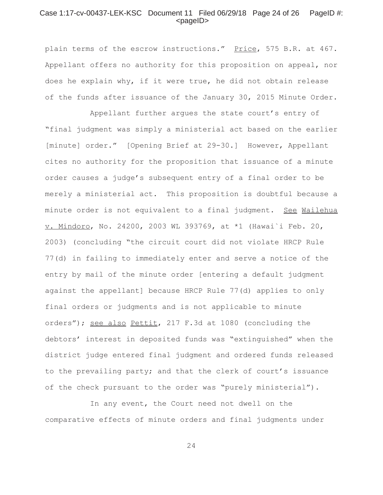#### Case 1:17-cv-00437-LEK-KSC Document 11 Filed 06/29/18 Page 24 of 26 PageID #: <pageID>

plain terms of the escrow instructions." Price, 575 B.R. at 467. Appellant offers no authority for this proposition on appeal, nor does he explain why, if it were true, he did not obtain release of the funds after issuance of the January 30, 2015 Minute Order.

Appellant further argues the state court's entry of "final judgment was simply a ministerial act based on the earlier [minute] order." [Opening Brief at 29-30.] However, Appellant cites no authority for the proposition that issuance of a minute order causes a judge's subsequent entry of a final order to be merely a ministerial act. This proposition is doubtful because a minute order is not equivalent to a final judgment. See Wailehua v. Mindoro, No. 24200, 2003 WL 393769, at \*1 (Hawai`i Feb. 20, 2003) (concluding "the circuit court did not violate HRCP Rule 77(d) in failing to immediately enter and serve a notice of the entry by mail of the minute order [entering a default judgment against the appellant] because HRCP Rule 77(d) applies to only final orders or judgments and is not applicable to minute orders"); see also Pettit, 217 F.3d at 1080 (concluding the debtors' interest in deposited funds was "extinguished" when the district judge entered final judgment and ordered funds released to the prevailing party; and that the clerk of court's issuance of the check pursuant to the order was "purely ministerial").

In any event, the Court need not dwell on the comparative effects of minute orders and final judgments under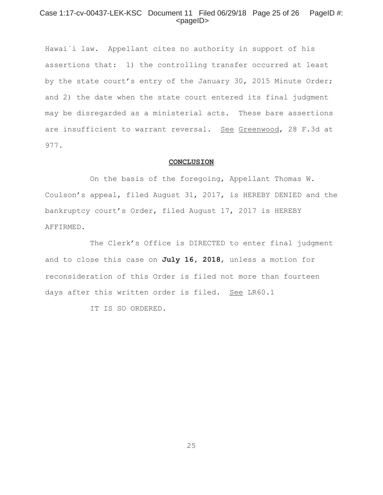### Case 1:17-cv-00437-LEK-KSC Document 11 Filed 06/29/18 Page 25 of 26 PageID #: <pageID>

Hawai`i law. Appellant cites no authority in support of his assertions that: 1) the controlling transfer occurred at least by the state court's entry of the January 30, 2015 Minute Order; and 2) the date when the state court entered its final judgment may be disregarded as a ministerial acts. These bare assertions are insufficient to warrant reversal. See Greenwood, 28 F.3d at 977.

#### **CONCLUSION**

On the basis of the foregoing, Appellant Thomas W. Coulson's appeal, filed August 31, 2017, is HEREBY DENIED and the bankruptcy court's Order, filed August 17, 2017 is HEREBY AFFIRMED.

The Clerk's Office is DIRECTED to enter final judgment and to close this case on **July 16, 2018**, unless a motion for reconsideration of this Order is filed not more than fourteen days after this written order is filed. See LR60.1

IT IS SO ORDERED.